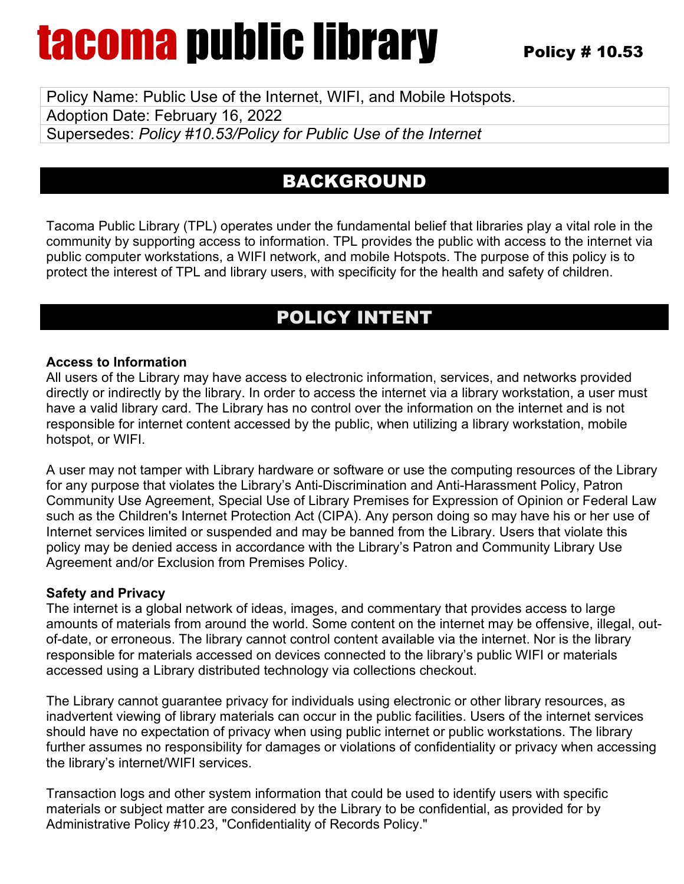Policy Name: Public Use of the Internet, WIFI, and Mobile Hotspots. Adoption Date: February 16, 2022 Supersedes: *Policy #10.53/Policy for Public Use of the Internet* 

## BACKGROUND

Tacoma Public Library (TPL) operates under the fundamental belief that libraries play a vital role in the community by supporting access to information. TPL provides the public with access to the internet via public computer workstations, a WIFI network, and mobile Hotspots. The purpose of this policy is to protect the interest of TPL and library users, with specificity for the health and safety of children.

## POLICY INTENT

### **Access to Information**

All users of the Library may have access to electronic information, services, and networks provided directly or indirectly by the library. In order to access the internet via a library workstation, a user must have a valid library card. The Library has no control over the information on the internet and is not responsible for internet content accessed by the public, when utilizing a library workstation, mobile hotspot, or WIFI.

A user may not tamper with Library hardware or software or use the computing resources of the Library for any purpose that violates the Library's Anti-Discrimination and Anti-Harassment Policy, Patron Community Use Agreement, Special Use of Library Premises for Expression of Opinion or Federal Law such as the Children's Internet Protection Act (CIPA). Any person doing so may have his or her use of Internet services limited or suspended and may be banned from the Library. Users that violate this policy may be denied access in accordance with the Library's Patron and Community Library Use Agreement and/or Exclusion from Premises Policy.

### **Safety and Privacy**

The internet is a global network of ideas, images, and commentary that provides access to large amounts of materials from around the world. Some content on the internet may be offensive, illegal, outof-date, or erroneous. The library cannot control content available via the internet. Nor is the library responsible for materials accessed on devices connected to the library's public WIFI or materials accessed using a Library distributed technology via collections checkout.

The Library cannot guarantee privacy for individuals using electronic or other library resources, as inadvertent viewing of library materials can occur in the public facilities. Users of the internet services should have no expectation of privacy when using public internet or public workstations. The library further assumes no responsibility for damages or violations of confidentiality or privacy when accessing the library's internet/WIFI services.

Transaction logs and other system information that could be used to identify users with specific materials or subject matter are considered by the Library to be confidential, as provided for by Administrative Policy #10.23, "Confidentiality of Records Policy."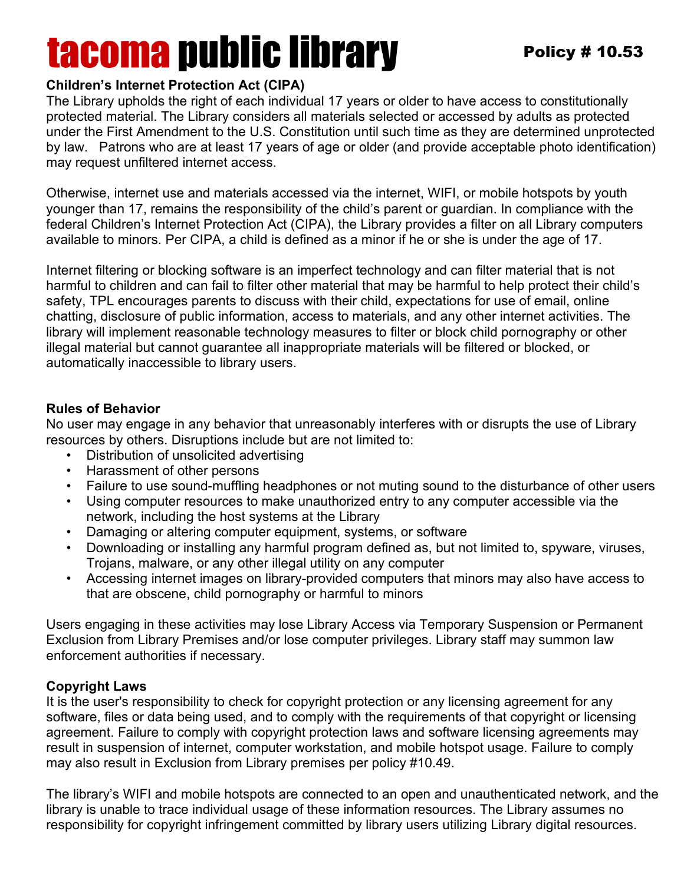### **Children's Internet Protection Act (CIPA)**

The Library upholds the right of each individual 17 years or older to have access to constitutionally protected material. The Library considers all materials selected or accessed by adults as protected under the First Amendment to the U.S. Constitution until such time as they are determined unprotected by law. Patrons who are at least 17 years of age or older (and provide acceptable photo identification) may request unfiltered internet access.

Otherwise, internet use and materials accessed via the internet, WIFI, or mobile hotspots by youth younger than 17, remains the responsibility of the child's parent or guardian. In compliance with the federal Children's Internet Protection Act (CIPA), the Library provides a filter on all Library computers available to minors. Per CIPA, a child is defined as a minor if he or she is under the age of 17.

Internet filtering or blocking software is an imperfect technology and can filter material that is not harmful to children and can fail to filter other material that may be harmful to help protect their child's safety, TPL encourages parents to discuss with their child, expectations for use of email, online chatting, disclosure of public information, access to materials, and any other internet activities. The library will implement reasonable technology measures to filter or block child pornography or other illegal material but cannot guarantee all inappropriate materials will be filtered or blocked, or automatically inaccessible to library users.

### **Rules of Behavior**

No user may engage in any behavior that unreasonably interferes with or disrupts the use of Library resources by others. Disruptions include but are not limited to:

- Distribution of unsolicited advertising
- Harassment of other persons
- Failure to use sound-muffling headphones or not muting sound to the disturbance of other users
- Using computer resources to make unauthorized entry to any computer accessible via the network, including the host systems at the Library
- Damaging or altering computer equipment, systems, or software
- Downloading or installing any harmful program defined as, but not limited to, spyware, viruses, Trojans, malware, or any other illegal utility on any computer
- Accessing internet images on library-provided computers that minors may also have access to that are obscene, child pornography or harmful to minors

Users engaging in these activities may lose Library Access via Temporary Suspension or Permanent Exclusion from Library Premises and/or lose computer privileges. Library staff may summon law enforcement authorities if necessary.

### **Copyright Laws**

It is the user's responsibility to check for copyright protection or any licensing agreement for any software, files or data being used, and to comply with the requirements of that copyright or licensing agreement. Failure to comply with copyright protection laws and software licensing agreements may result in suspension of internet, computer workstation, and mobile hotspot usage. Failure to comply may also result in Exclusion from Library premises per policy #10.49.

The library's WIFI and mobile hotspots are connected to an open and unauthenticated network, and the library is unable to trace individual usage of these information resources. The Library assumes no responsibility for copyright infringement committed by library users utilizing Library digital resources.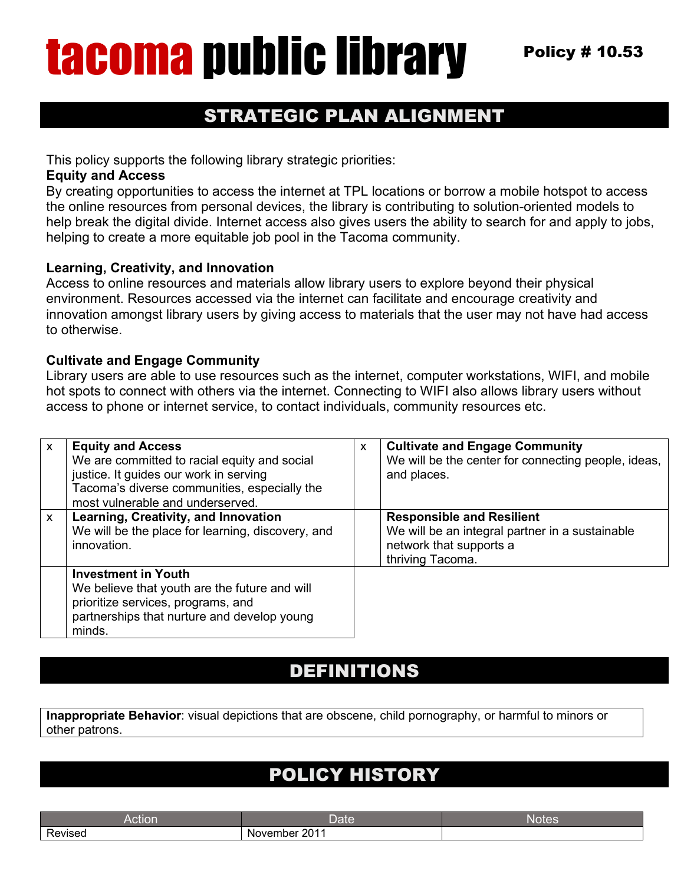## STRATEGIC PLAN ALIGNMENT

This policy supports the following library strategic priorities:

#### **Equity and Access**

By creating opportunities to access the internet at TPL locations or borrow a mobile hotspot to access the online resources from personal devices, the library is contributing to solution-oriented models to help break the digital divide. Internet access also gives users the ability to search for and apply to jobs, helping to create a more equitable job pool in the Tacoma community.

### **Learning, Creativity, and Innovation**

Access to online resources and materials allow library users to explore beyond their physical environment. Resources accessed via the internet can facilitate and encourage creativity and innovation amongst library users by giving access to materials that the user may not have had access to otherwise.

#### **Cultivate and Engage Community**

Library users are able to use resources such as the internet, computer workstations, WIFI, and mobile hot spots to connect with others via the internet. Connecting to WIFI also allows library users without access to phone or internet service, to contact individuals, community resources etc.

| $\mathsf{x}$ | <b>Equity and Access</b><br>We are committed to racial equity and social<br>justice. It guides our work in serving<br>Tacoma's diverse communities, especially the<br>most vulnerable and underserved. | X | <b>Cultivate and Engage Community</b><br>We will be the center for connecting people, ideas,<br>and places.                        |
|--------------|--------------------------------------------------------------------------------------------------------------------------------------------------------------------------------------------------------|---|------------------------------------------------------------------------------------------------------------------------------------|
| $\mathsf{x}$ | Learning, Creativity, and Innovation<br>We will be the place for learning, discovery, and<br>innovation.                                                                                               |   | <b>Responsible and Resilient</b><br>We will be an integral partner in a sustainable<br>network that supports a<br>thriving Tacoma. |
|              | <b>Investment in Youth</b><br>We believe that youth are the future and will<br>prioritize services, programs, and<br>partnerships that nurture and develop young<br>minds.                             |   |                                                                                                                                    |

### DEFINITIONS

**Inappropriate Behavior**: visual depictions that are obscene, child pornography, or harmful to minors or other patrons.

## POLICY HISTORY

|                                     | પ્રાપ્ત          | Nľ<br>- T |
|-------------------------------------|------------------|-----------|
| $\overline{\phantom{0}}$<br>Revised | 0011<br>November |           |